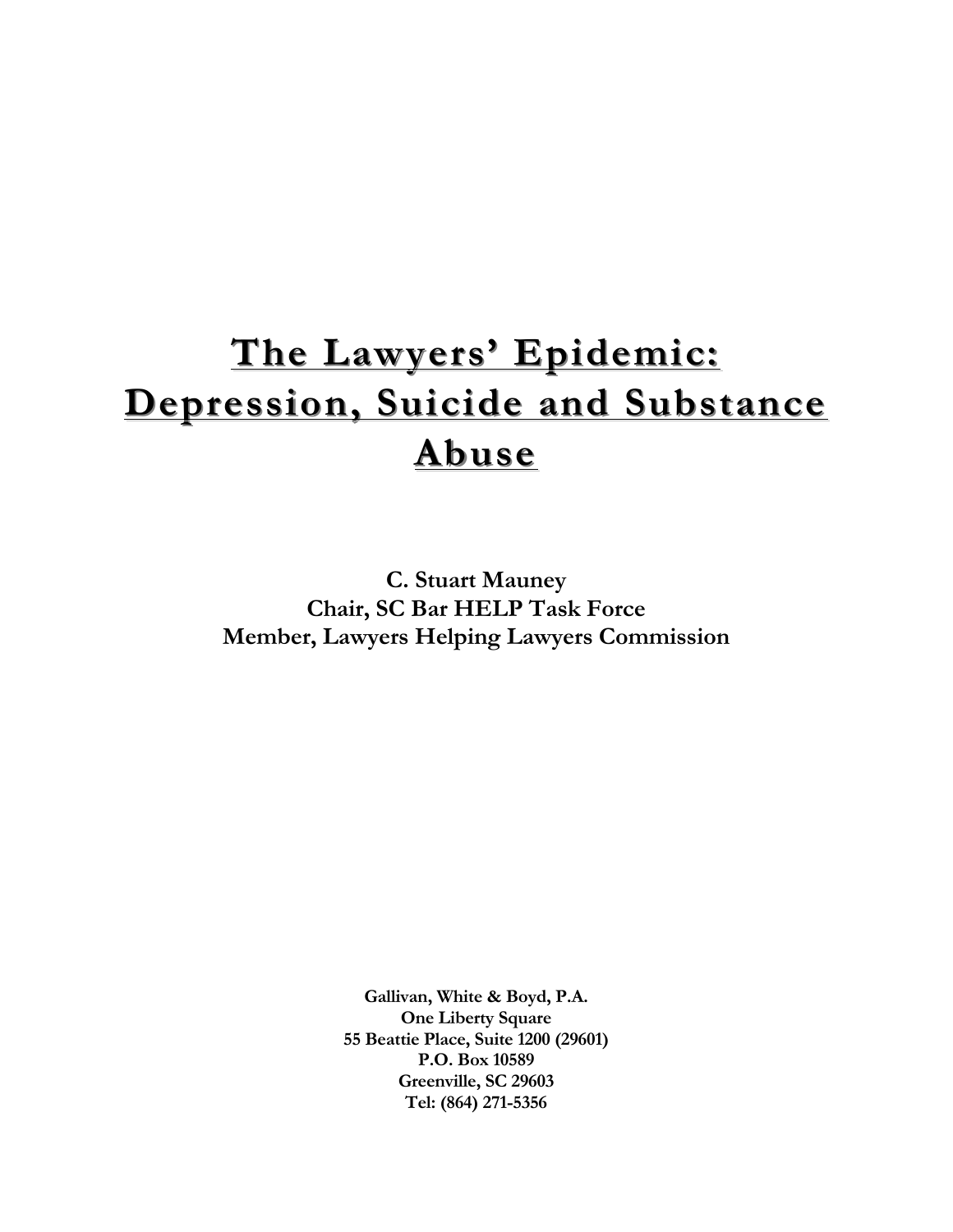# **The Lawyers' Epidemic: The Lawyers' Epidemic: Depression, Suicide and Substance Abuse**

**C. Stuart Mauney Chair, SC Bar HELP Task Force Member, Lawyers Helping Lawyers Commission**

> **Gallivan, White & Boyd, P.A. One Liberty Square 55 Beattie Place, Suite 1200 (29601) P.O. Box 10589 Greenville, SC 29603 Tel: (864) 271-5356**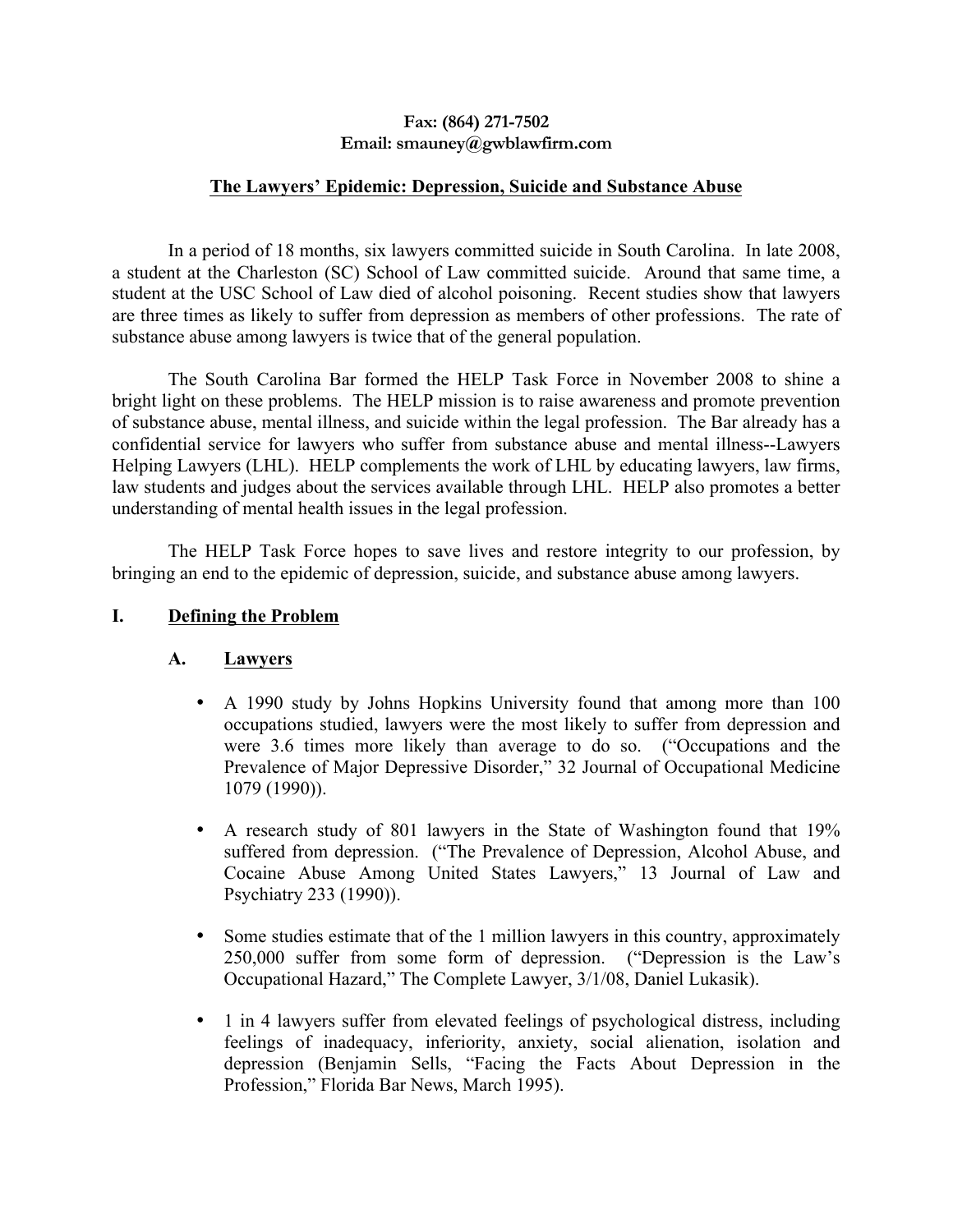#### **Fax: (864) 271-7502 Email: smauney@gwblawfirm.com**

#### **The Lawyers' Epidemic: Depression, Suicide and Substance Abuse**

In a period of 18 months, six lawyers committed suicide in South Carolina. In late 2008, a student at the Charleston (SC) School of Law committed suicide. Around that same time, a student at the USC School of Law died of alcohol poisoning. Recent studies show that lawyers are three times as likely to suffer from depression as members of other professions. The rate of substance abuse among lawyers is twice that of the general population.

The South Carolina Bar formed the HELP Task Force in November 2008 to shine a bright light on these problems. The HELP mission is to raise awareness and promote prevention of substance abuse, mental illness, and suicide within the legal profession. The Bar already has a confidential service for lawyers who suffer from substance abuse and mental illness--Lawyers Helping Lawyers (LHL). HELP complements the work of LHL by educating lawyers, law firms, law students and judges about the services available through LHL. HELP also promotes a better understanding of mental health issues in the legal profession.

The HELP Task Force hopes to save lives and restore integrity to our profession, by bringing an end to the epidemic of depression, suicide, and substance abuse among lawyers.

#### **I. Defining the Problem**

#### **A. Lawyers**

- A 1990 study by Johns Hopkins University found that among more than 100 occupations studied, lawyers were the most likely to suffer from depression and were 3.6 times more likely than average to do so. ("Occupations and the Prevalence of Major Depressive Disorder," 32 Journal of Occupational Medicine 1079 (1990)).
- A research study of 801 lawyers in the State of Washington found that 19% suffered from depression. ("The Prevalence of Depression, Alcohol Abuse, and Cocaine Abuse Among United States Lawyers," 13 Journal of Law and Psychiatry 233 (1990)).
- Some studies estimate that of the 1 million lawyers in this country, approximately 250,000 suffer from some form of depression. ("Depression is the Law's Occupational Hazard," The Complete Lawyer, 3/1/08, Daniel Lukasik).
- 1 in 4 lawyers suffer from elevated feelings of psychological distress, including feelings of inadequacy, inferiority, anxiety, social alienation, isolation and depression (Benjamin Sells, "Facing the Facts About Depression in the Profession," Florida Bar News, March 1995).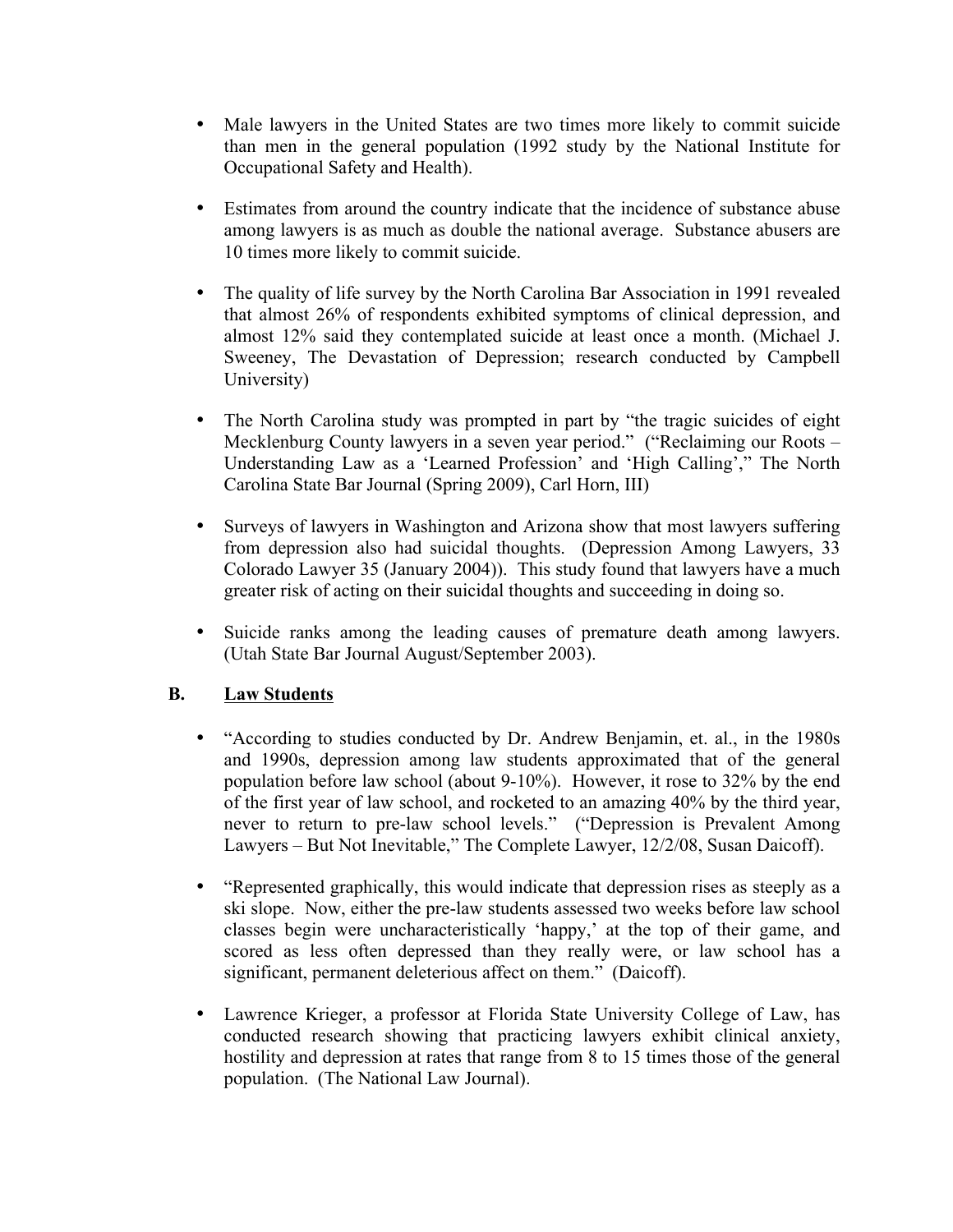- Male lawyers in the United States are two times more likely to commit suicide than men in the general population (1992 study by the National Institute for Occupational Safety and Health).
- Estimates from around the country indicate that the incidence of substance abuse among lawyers is as much as double the national average. Substance abusers are 10 times more likely to commit suicide.
- The quality of life survey by the North Carolina Bar Association in 1991 revealed that almost 26% of respondents exhibited symptoms of clinical depression, and almost 12% said they contemplated suicide at least once a month. (Michael J. Sweeney, The Devastation of Depression; research conducted by Campbell University)
- The North Carolina study was prompted in part by "the tragic suicides of eight Mecklenburg County lawyers in a seven year period." ("Reclaiming our Roots – Understanding Law as a 'Learned Profession' and 'High Calling'," The North Carolina State Bar Journal (Spring 2009), Carl Horn, III)
- Surveys of lawyers in Washington and Arizona show that most lawyers suffering from depression also had suicidal thoughts. (Depression Among Lawyers, 33 Colorado Lawyer 35 (January 2004)). This study found that lawyers have a much greater risk of acting on their suicidal thoughts and succeeding in doing so.
- Suicide ranks among the leading causes of premature death among lawyers. (Utah State Bar Journal August/September 2003).

## **B. Law Students**

- "According to studies conducted by Dr. Andrew Benjamin, et. al., in the 1980s and 1990s, depression among law students approximated that of the general population before law school (about 9-10%). However, it rose to 32% by the end of the first year of law school, and rocketed to an amazing 40% by the third year, never to return to pre-law school levels." ("Depression is Prevalent Among Lawyers – But Not Inevitable," The Complete Lawyer, 12/2/08, Susan Daicoff).
- "Represented graphically, this would indicate that depression rises as steeply as a ski slope. Now, either the pre-law students assessed two weeks before law school classes begin were uncharacteristically 'happy,' at the top of their game, and scored as less often depressed than they really were, or law school has a significant, permanent deleterious affect on them." (Daicoff).
- Lawrence Krieger, a professor at Florida State University College of Law, has conducted research showing that practicing lawyers exhibit clinical anxiety, hostility and depression at rates that range from 8 to 15 times those of the general population. (The National Law Journal).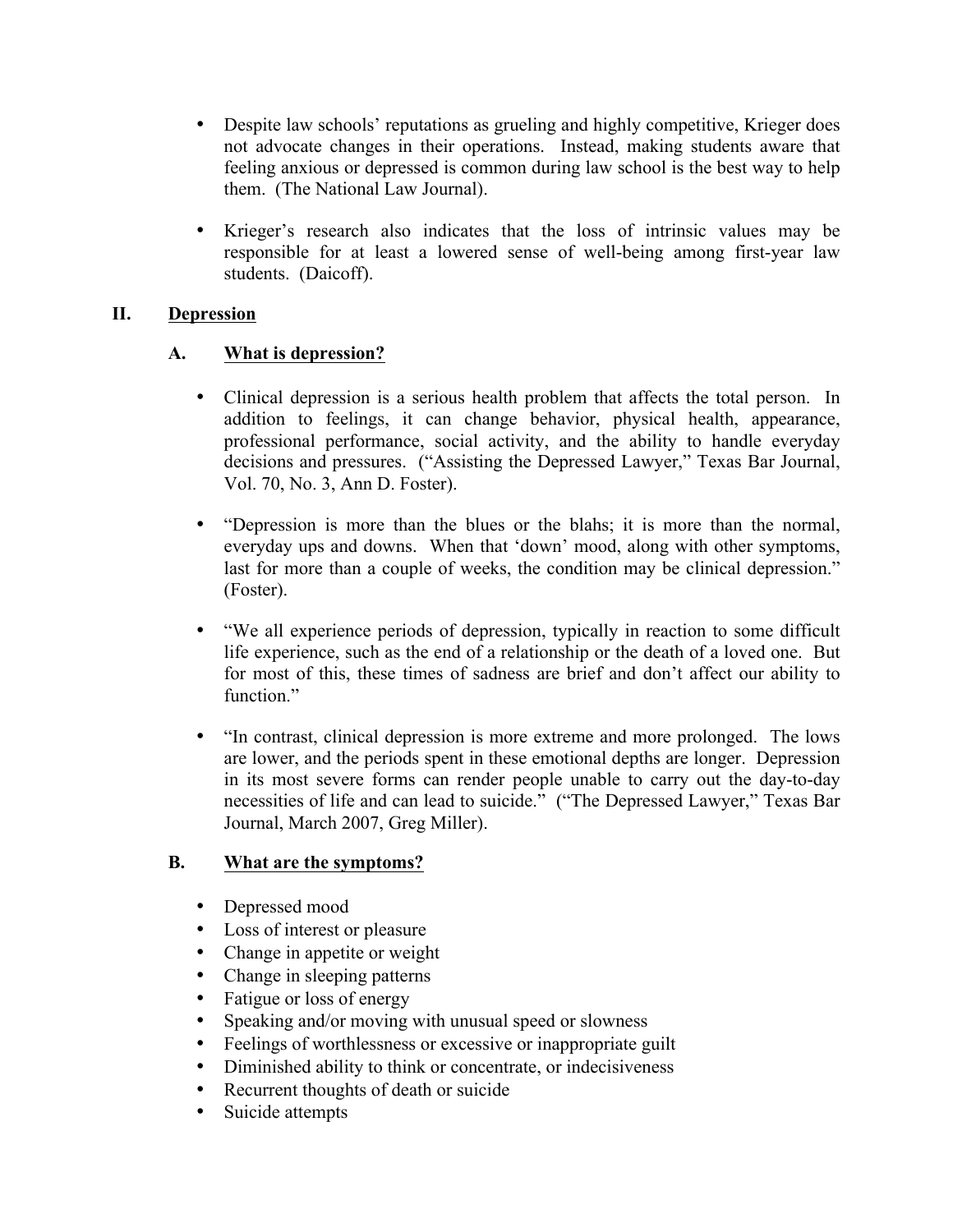- Despite law schools' reputations as grueling and highly competitive, Krieger does not advocate changes in their operations. Instead, making students aware that feeling anxious or depressed is common during law school is the best way to help them. (The National Law Journal).
- Krieger's research also indicates that the loss of intrinsic values may be responsible for at least a lowered sense of well-being among first-year law students. (Daicoff).

## **II. Depression**

# **A. What is depression?**

- Clinical depression is a serious health problem that affects the total person. In addition to feelings, it can change behavior, physical health, appearance, professional performance, social activity, and the ability to handle everyday decisions and pressures. ("Assisting the Depressed Lawyer," Texas Bar Journal, Vol. 70, No. 3, Ann D. Foster).
- "Depression is more than the blues or the blahs; it is more than the normal, everyday ups and downs. When that 'down' mood, along with other symptoms, last for more than a couple of weeks, the condition may be clinical depression." (Foster).
- "We all experience periods of depression, typically in reaction to some difficult life experience, such as the end of a relationship or the death of a loved one. But for most of this, these times of sadness are brief and don't affect our ability to function."
- "In contrast, clinical depression is more extreme and more prolonged. The lows are lower, and the periods spent in these emotional depths are longer. Depression in its most severe forms can render people unable to carry out the day-to-day necessities of life and can lead to suicide." ("The Depressed Lawyer," Texas Bar Journal, March 2007, Greg Miller).

## **B. What are the symptoms?**

- Depressed mood
- Loss of interest or pleasure
- Change in appetite or weight
- Change in sleeping patterns
- Fatigue or loss of energy
- Speaking and/or moving with unusual speed or slowness
- Feelings of worthlessness or excessive or inappropriate guilt
- Diminished ability to think or concentrate, or indecisiveness
- Recurrent thoughts of death or suicide
- Suicide attempts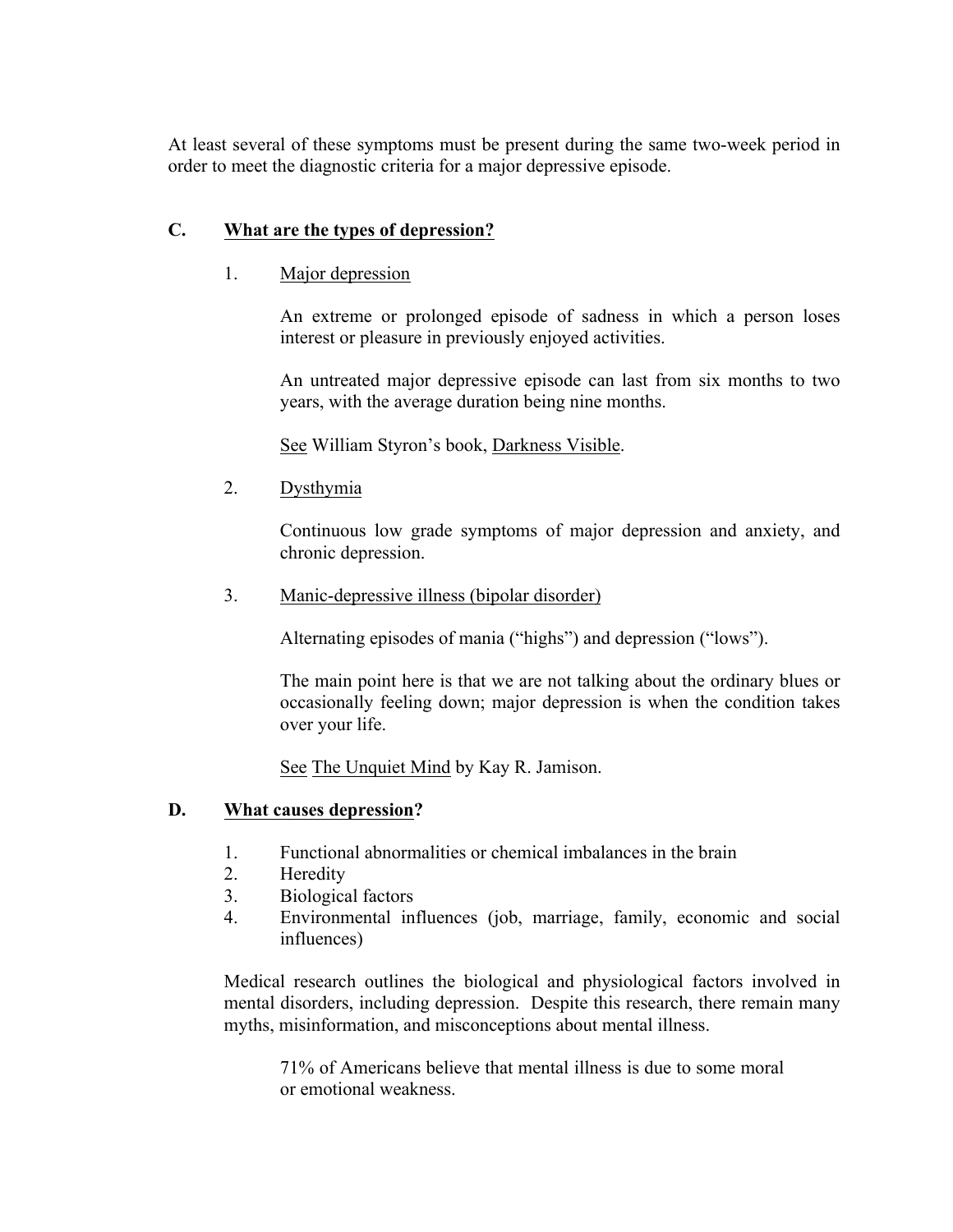At least several of these symptoms must be present during the same two-week period in order to meet the diagnostic criteria for a major depressive episode.

# **C. What are the types of depression?**

## 1. Major depression

An extreme or prolonged episode of sadness in which a person loses interest or pleasure in previously enjoyed activities.

An untreated major depressive episode can last from six months to two years, with the average duration being nine months.

See William Styron's book, Darkness Visible.

2. Dysthymia

Continuous low grade symptoms of major depression and anxiety, and chronic depression.

3. Manic-depressive illness (bipolar disorder)

Alternating episodes of mania ("highs") and depression ("lows").

The main point here is that we are not talking about the ordinary blues or occasionally feeling down; major depression is when the condition takes over your life.

See The Unquiet Mind by Kay R. Jamison.

## **D. What causes depression?**

- 1. Functional abnormalities or chemical imbalances in the brain
- 2. Heredity
- 3. Biological factors
- 4. Environmental influences (job, marriage, family, economic and social influences)

Medical research outlines the biological and physiological factors involved in mental disorders, including depression. Despite this research, there remain many myths, misinformation, and misconceptions about mental illness.

71% of Americans believe that mental illness is due to some moral or emotional weakness.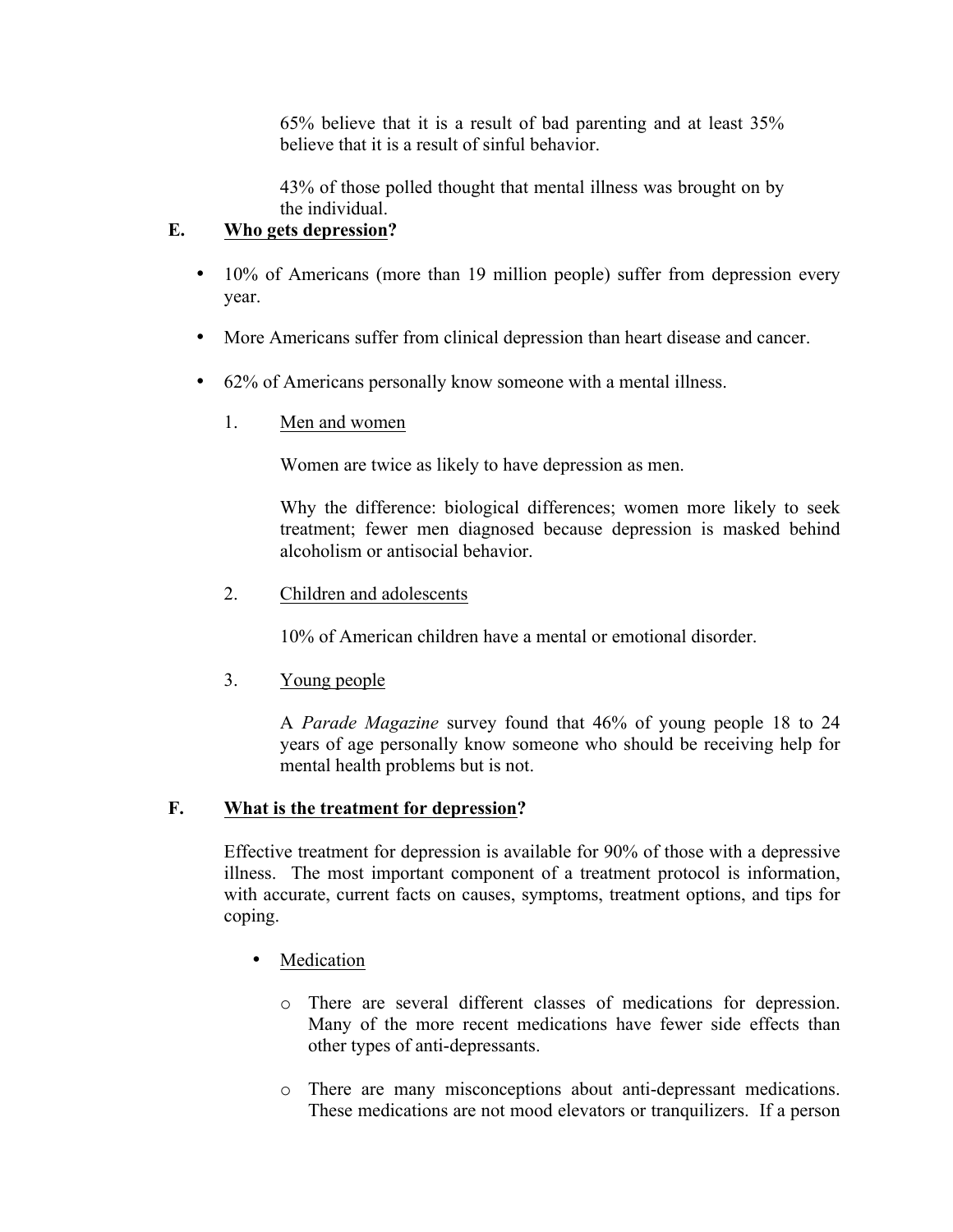65% believe that it is a result of bad parenting and at least 35% believe that it is a result of sinful behavior.

43% of those polled thought that mental illness was brought on by the individual.

## **E. Who gets depression?**

- 10% of Americans (more than 19 million people) suffer from depression every year.
- More Americans suffer from clinical depression than heart disease and cancer.
- 62% of Americans personally know someone with a mental illness.
	- 1. Men and women

Women are twice as likely to have depression as men.

Why the difference: biological differences; women more likely to seek treatment; fewer men diagnosed because depression is masked behind alcoholism or antisocial behavior.

#### 2. Children and adolescents

10% of American children have a mental or emotional disorder.

#### 3. Young people

A *Parade Magazine* survey found that 46% of young people 18 to 24 years of age personally know someone who should be receiving help for mental health problems but is not.

#### **F. What is the treatment for depression?**

Effective treatment for depression is available for 90% of those with a depressive illness. The most important component of a treatment protocol is information, with accurate, current facts on causes, symptoms, treatment options, and tips for coping.

- **Medication** 
	- o There are several different classes of medications for depression. Many of the more recent medications have fewer side effects than other types of anti-depressants.
	- o There are many misconceptions about anti-depressant medications. These medications are not mood elevators or tranquilizers. If a person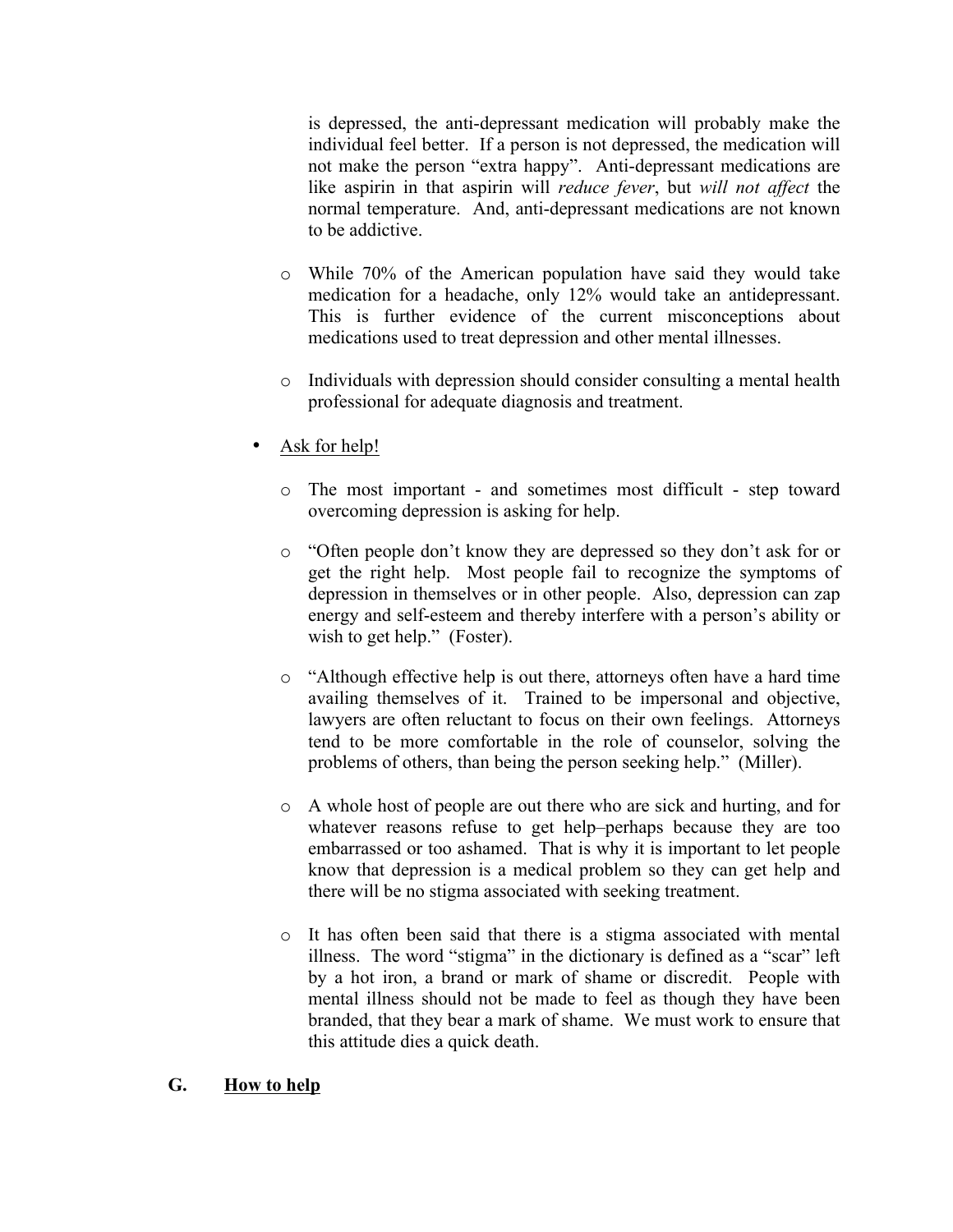is depressed, the anti-depressant medication will probably make the individual feel better. If a person is not depressed, the medication will not make the person "extra happy". Anti-depressant medications are like aspirin in that aspirin will *reduce fever*, but *will not affect* the normal temperature. And, anti-depressant medications are not known to be addictive.

- o While 70% of the American population have said they would take medication for a headache, only 12% would take an antidepressant. This is further evidence of the current misconceptions about medications used to treat depression and other mental illnesses.
- o Individuals with depression should consider consulting a mental health professional for adequate diagnosis and treatment.
- Ask for help!
	- o The most important and sometimes most difficult step toward overcoming depression is asking for help.
	- o "Often people don't know they are depressed so they don't ask for or get the right help. Most people fail to recognize the symptoms of depression in themselves or in other people. Also, depression can zap energy and self-esteem and thereby interfere with a person's ability or wish to get help." (Foster).
	- o "Although effective help is out there, attorneys often have a hard time availing themselves of it. Trained to be impersonal and objective, lawyers are often reluctant to focus on their own feelings. Attorneys tend to be more comfortable in the role of counselor, solving the problems of others, than being the person seeking help." (Miller).
	- o A whole host of people are out there who are sick and hurting, and for whatever reasons refuse to get help–perhaps because they are too embarrassed or too ashamed. That is why it is important to let people know that depression is a medical problem so they can get help and there will be no stigma associated with seeking treatment.
	- o It has often been said that there is a stigma associated with mental illness. The word "stigma" in the dictionary is defined as a "scar" left by a hot iron, a brand or mark of shame or discredit. People with mental illness should not be made to feel as though they have been branded, that they bear a mark of shame. We must work to ensure that this attitude dies a quick death.

## **G. How to help**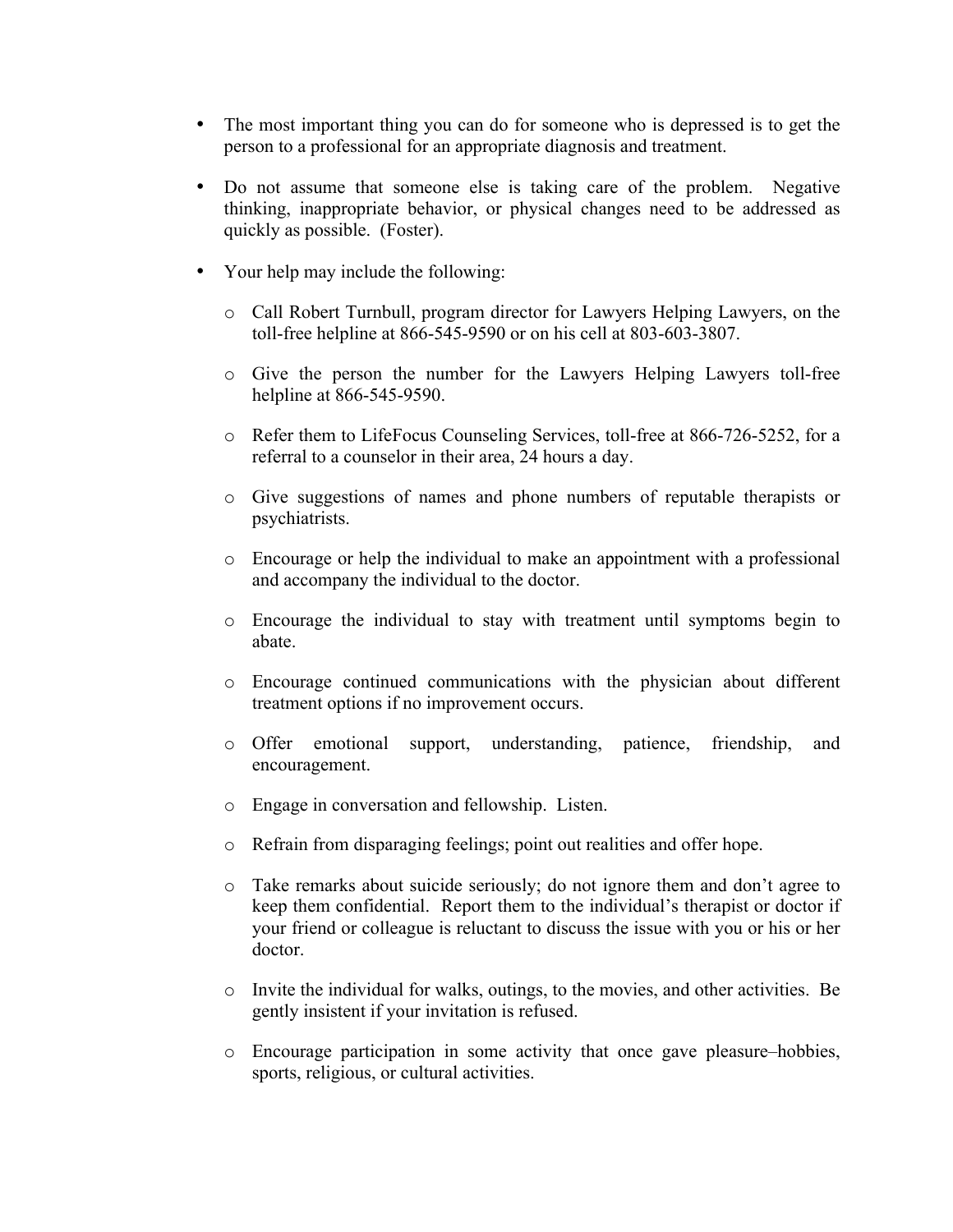- The most important thing you can do for someone who is depressed is to get the person to a professional for an appropriate diagnosis and treatment.
- Do not assume that someone else is taking care of the problem. Negative thinking, inappropriate behavior, or physical changes need to be addressed as quickly as possible. (Foster).
- Your help may include the following:
	- o Call Robert Turnbull, program director for Lawyers Helping Lawyers, on the toll-free helpline at 866-545-9590 or on his cell at 803-603-3807.
	- o Give the person the number for the Lawyers Helping Lawyers toll-free helpline at 866-545-9590.
	- o Refer them to LifeFocus Counseling Services, toll-free at 866-726-5252, for a referral to a counselor in their area, 24 hours a day.
	- o Give suggestions of names and phone numbers of reputable therapists or psychiatrists.
	- o Encourage or help the individual to make an appointment with a professional and accompany the individual to the doctor.
	- o Encourage the individual to stay with treatment until symptoms begin to abate.
	- o Encourage continued communications with the physician about different treatment options if no improvement occurs.
	- o Offer emotional support, understanding, patience, friendship, and encouragement.
	- o Engage in conversation and fellowship. Listen.
	- o Refrain from disparaging feelings; point out realities and offer hope.
	- o Take remarks about suicide seriously; do not ignore them and don't agree to keep them confidential. Report them to the individual's therapist or doctor if your friend or colleague is reluctant to discuss the issue with you or his or her doctor.
	- o Invite the individual for walks, outings, to the movies, and other activities. Be gently insistent if your invitation is refused.
	- o Encourage participation in some activity that once gave pleasure–hobbies, sports, religious, or cultural activities.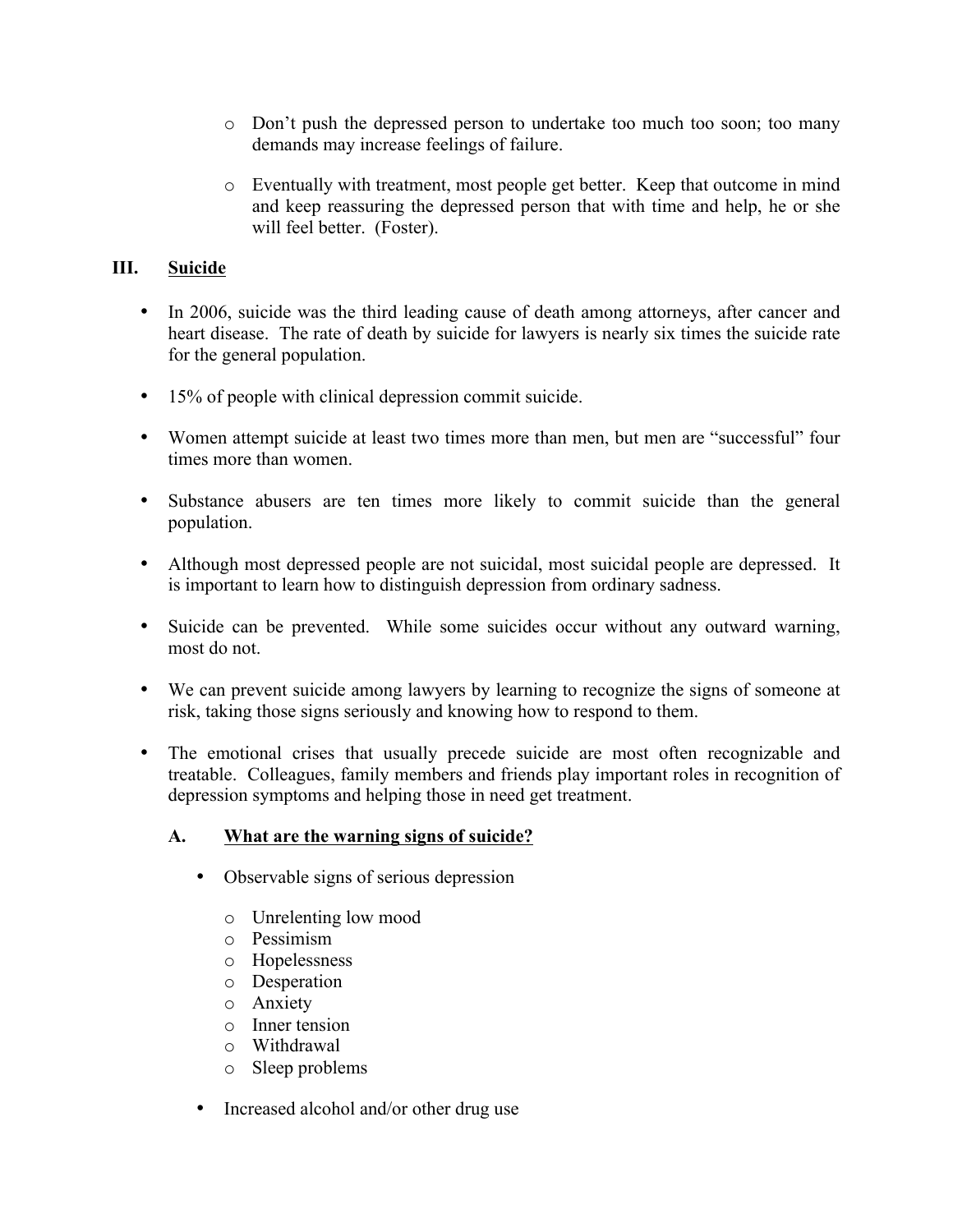- o Don't push the depressed person to undertake too much too soon; too many demands may increase feelings of failure.
- o Eventually with treatment, most people get better. Keep that outcome in mind and keep reassuring the depressed person that with time and help, he or she will feel better. (Foster).

## **III. Suicide**

- In 2006, suicide was the third leading cause of death among attorneys, after cancer and heart disease. The rate of death by suicide for lawyers is nearly six times the suicide rate for the general population.
- 15% of people with clinical depression commit suicide.
- Women attempt suicide at least two times more than men, but men are "successful" four times more than women.
- Substance abusers are ten times more likely to commit suicide than the general population.
- Although most depressed people are not suicidal, most suicidal people are depressed. It is important to learn how to distinguish depression from ordinary sadness.
- Suicide can be prevented. While some suicides occur without any outward warning, most do not.
- We can prevent suicide among lawyers by learning to recognize the signs of someone at risk, taking those signs seriously and knowing how to respond to them.
- The emotional crises that usually precede suicide are most often recognizable and treatable. Colleagues, family members and friends play important roles in recognition of depression symptoms and helping those in need get treatment.

## **A. What are the warning signs of suicide?**

- Observable signs of serious depression
	- o Unrelenting low mood
	- o Pessimism
	- o Hopelessness
	- o Desperation
	- o Anxiety
	- o Inner tension
	- o Withdrawal
	- o Sleep problems
- Increased alcohol and/or other drug use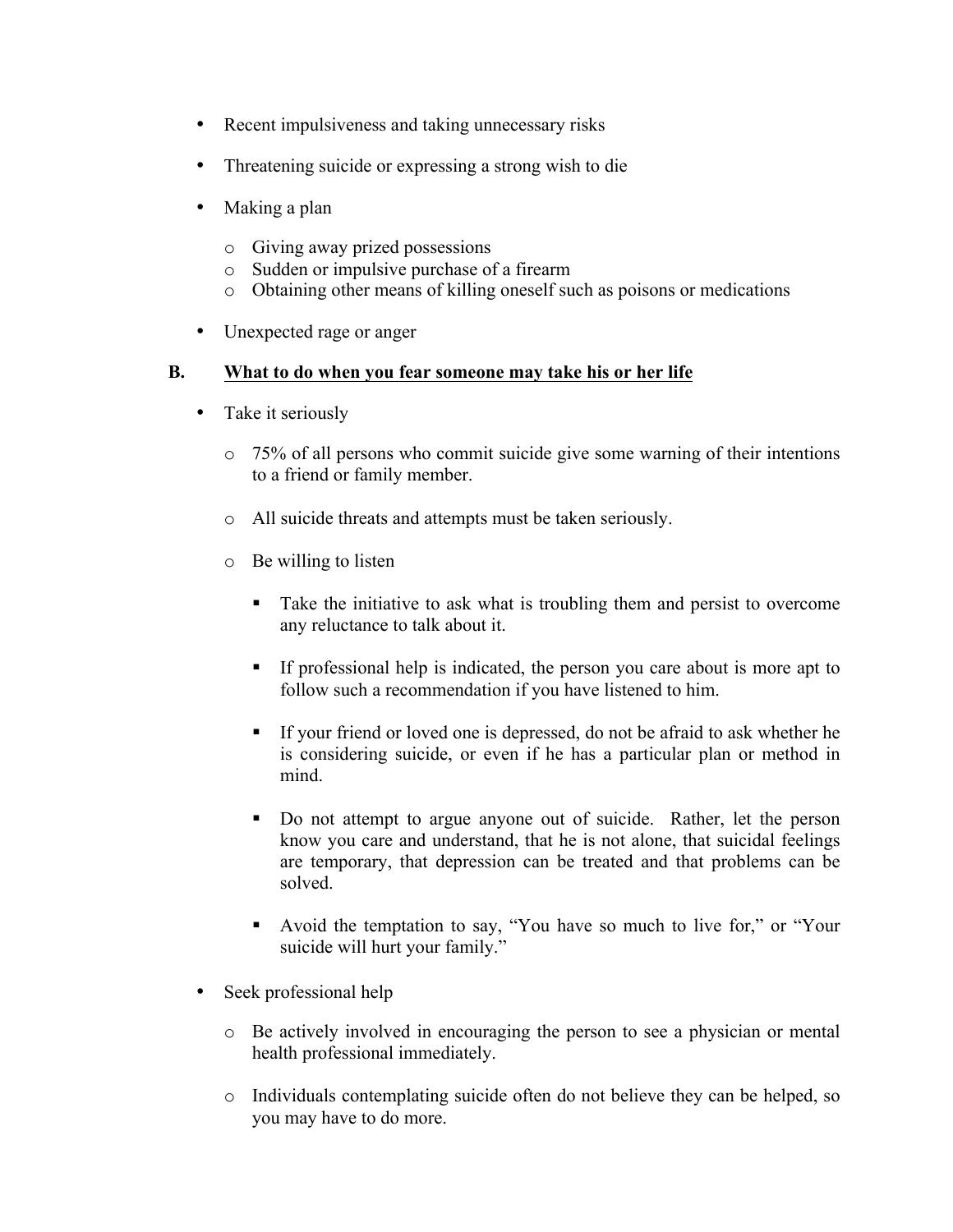- Recent impulsiveness and taking unnecessary risks
- Threatening suicide or expressing a strong wish to die
- Making a plan
	- o Giving away prized possessions
	- o Sudden or impulsive purchase of a firearm
	- o Obtaining other means of killing oneself such as poisons or medications
- Unexpected rage or anger

## **B. What to do when you fear someone may take his or her life**

- Take it seriously
	- o 75% of all persons who commit suicide give some warning of their intentions to a friend or family member.
	- o All suicide threats and attempts must be taken seriously.
	- o Be willing to listen
		- Take the initiative to ask what is troubling them and persist to overcome any reluctance to talk about it.
		- ! If professional help is indicated, the person you care about is more apt to follow such a recommendation if you have listened to him.
		- ! If your friend or loved one is depressed, do not be afraid to ask whether he is considering suicide, or even if he has a particular plan or method in mind.
		- ! Do not attempt to argue anyone out of suicide. Rather, let the person know you care and understand, that he is not alone, that suicidal feelings are temporary, that depression can be treated and that problems can be solved.
		- Avoid the temptation to say, "You have so much to live for," or "Your suicide will hurt your family."
- Seek professional help
	- o Be actively involved in encouraging the person to see a physician or mental health professional immediately.
	- o Individuals contemplating suicide often do not believe they can be helped, so you may have to do more.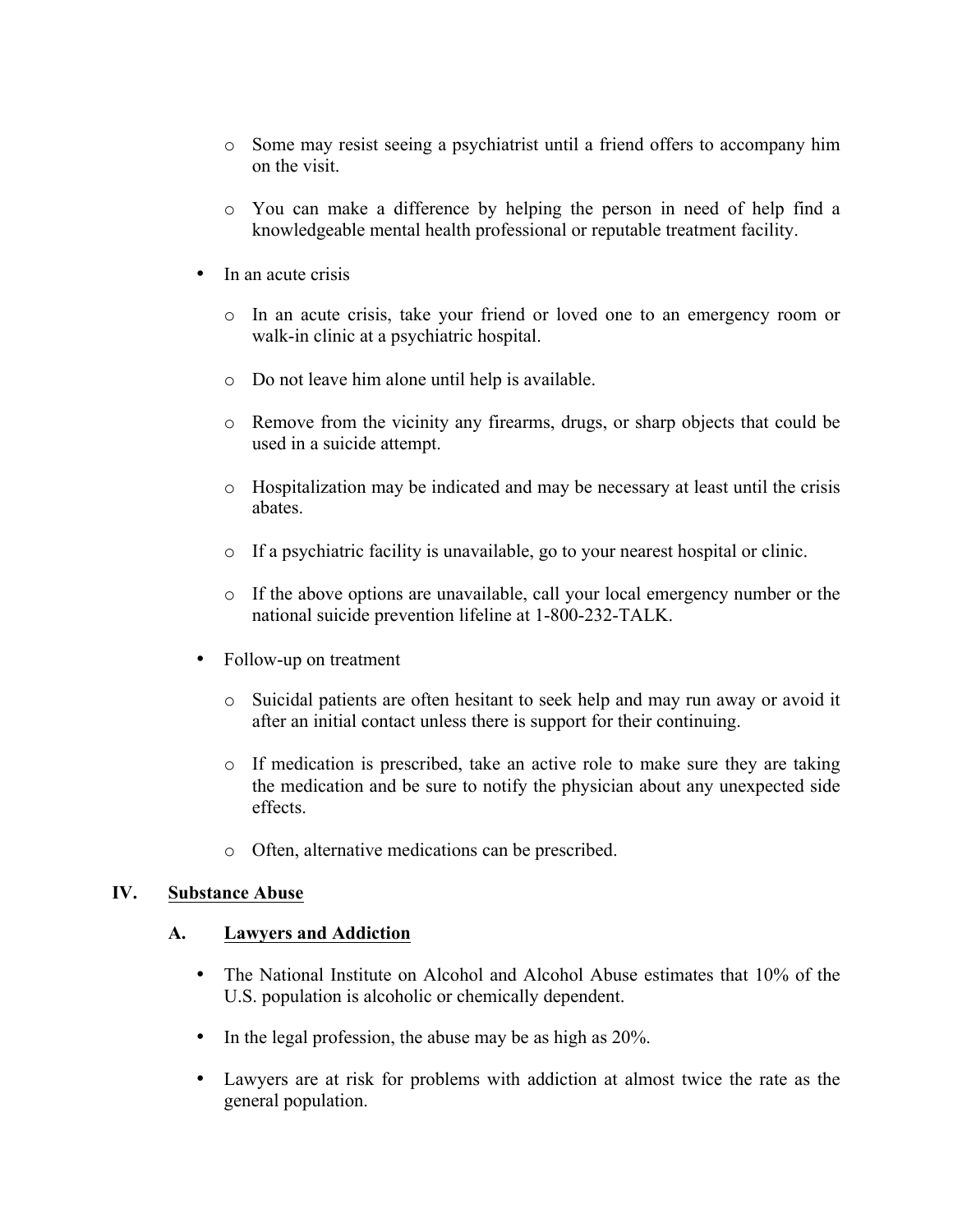- o Some may resist seeing a psychiatrist until a friend offers to accompany him on the visit.
- o You can make a difference by helping the person in need of help find a knowledgeable mental health professional or reputable treatment facility.
- In an acute crisis
	- o In an acute crisis, take your friend or loved one to an emergency room or walk-in clinic at a psychiatric hospital.
	- o Do not leave him alone until help is available.
	- o Remove from the vicinity any firearms, drugs, or sharp objects that could be used in a suicide attempt.
	- o Hospitalization may be indicated and may be necessary at least until the crisis abates.
	- o If a psychiatric facility is unavailable, go to your nearest hospital or clinic.
	- o If the above options are unavailable, call your local emergency number or the national suicide prevention lifeline at 1-800-232-TALK.
- Follow-up on treatment
	- o Suicidal patients are often hesitant to seek help and may run away or avoid it after an initial contact unless there is support for their continuing.
	- o If medication is prescribed, take an active role to make sure they are taking the medication and be sure to notify the physician about any unexpected side effects.
	- o Often, alternative medications can be prescribed.

#### **IV. Substance Abuse**

#### **A. Lawyers and Addiction**

- The National Institute on Alcohol and Alcohol Abuse estimates that 10% of the U.S. population is alcoholic or chemically dependent.
- In the legal profession, the abuse may be as high as 20%.
- Lawyers are at risk for problems with addiction at almost twice the rate as the general population.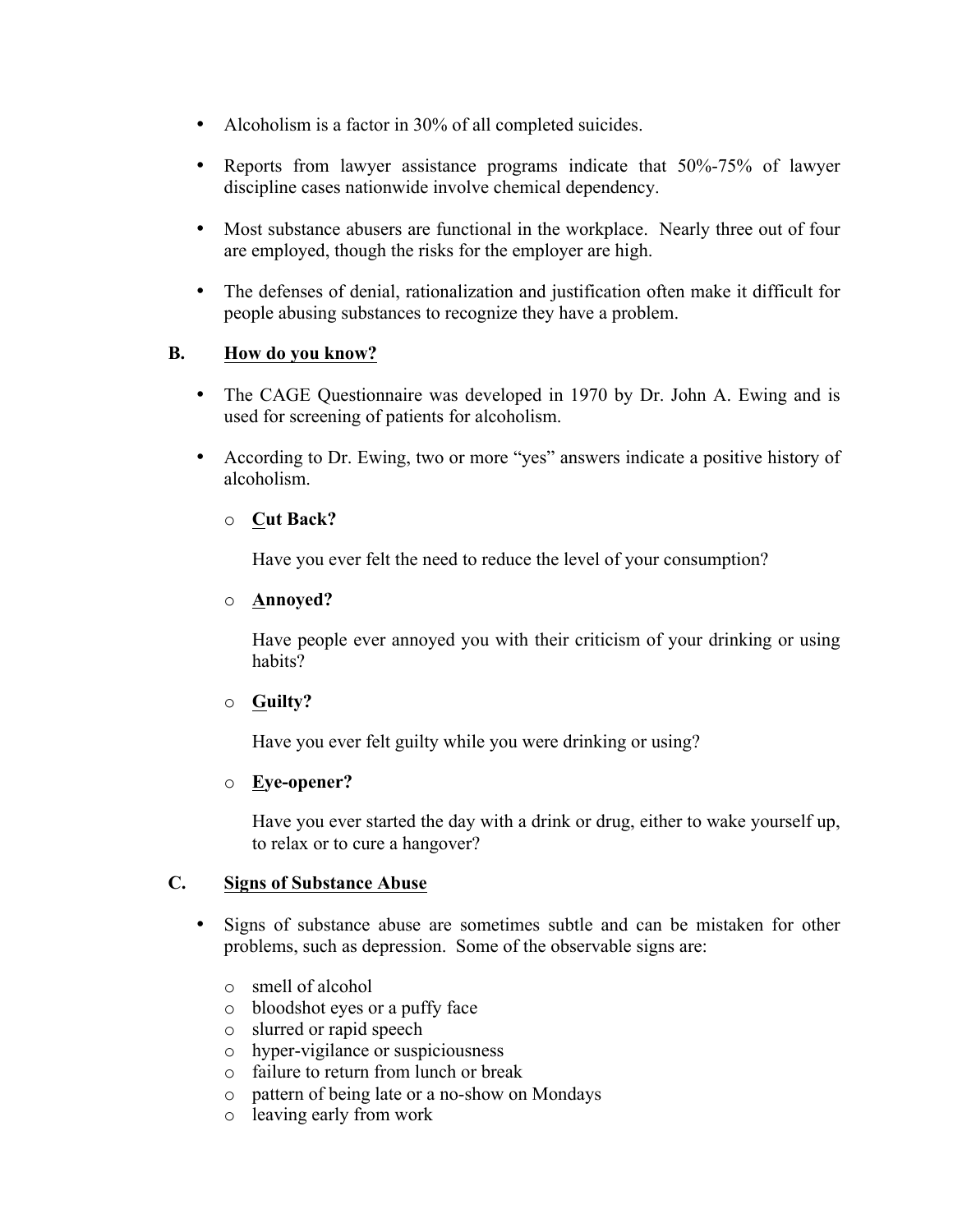- Alcoholism is a factor in 30% of all completed suicides.
- Reports from lawyer assistance programs indicate that 50%-75% of lawyer discipline cases nationwide involve chemical dependency.
- Most substance abusers are functional in the workplace. Nearly three out of four are employed, though the risks for the employer are high.
- The defenses of denial, rationalization and justification often make it difficult for people abusing substances to recognize they have a problem.

## **B. How do you know?**

- The CAGE Questionnaire was developed in 1970 by Dr. John A. Ewing and is used for screening of patients for alcoholism.
- According to Dr. Ewing, two or more "yes" answers indicate a positive history of alcoholism.

# o **Cut Back?**

Have you ever felt the need to reduce the level of your consumption?

## o **Annoyed?**

Have people ever annoyed you with their criticism of your drinking or using habits?

## o **Guilty?**

Have you ever felt guilty while you were drinking or using?

## o **Eye-opener?**

Have you ever started the day with a drink or drug, either to wake yourself up, to relax or to cure a hangover?

#### **C. Signs of Substance Abuse**

- Signs of substance abuse are sometimes subtle and can be mistaken for other problems, such as depression. Some of the observable signs are:
	- o smell of alcohol
	- o bloodshot eyes or a puffy face
	- o slurred or rapid speech
	- o hyper-vigilance or suspiciousness
	- o failure to return from lunch or break
	- o pattern of being late or a no-show on Mondays
	- o leaving early from work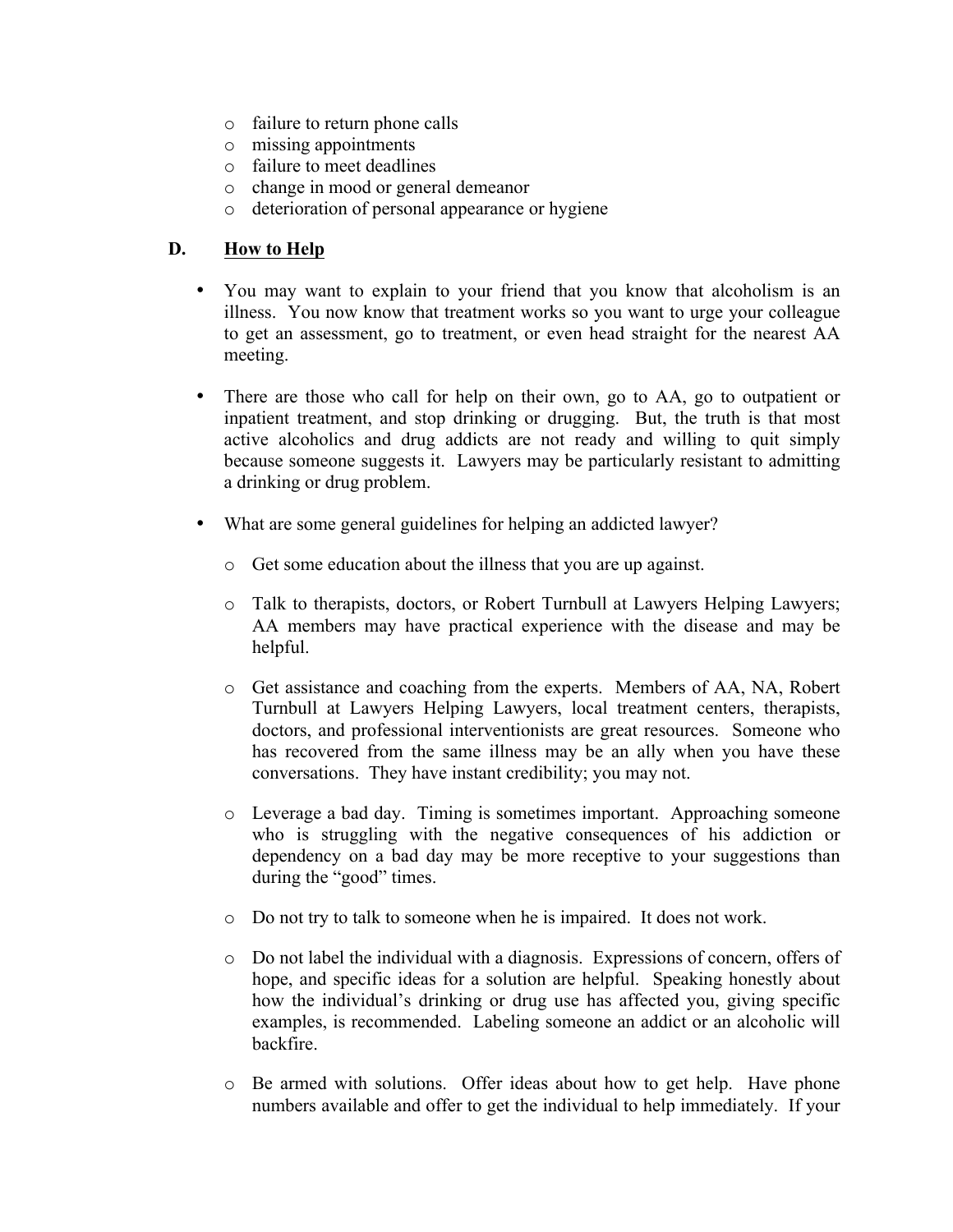- o failure to return phone calls
- o missing appointments
- o failure to meet deadlines
- o change in mood or general demeanor
- o deterioration of personal appearance or hygiene

#### **D. How to Help**

- You may want to explain to your friend that you know that alcoholism is an illness. You now know that treatment works so you want to urge your colleague to get an assessment, go to treatment, or even head straight for the nearest AA meeting.
- There are those who call for help on their own, go to AA, go to outpatient or inpatient treatment, and stop drinking or drugging. But, the truth is that most active alcoholics and drug addicts are not ready and willing to quit simply because someone suggests it. Lawyers may be particularly resistant to admitting a drinking or drug problem.
- What are some general guidelines for helping an addicted lawyer?
	- o Get some education about the illness that you are up against.
	- o Talk to therapists, doctors, or Robert Turnbull at Lawyers Helping Lawyers; AA members may have practical experience with the disease and may be helpful.
	- o Get assistance and coaching from the experts. Members of AA, NA, Robert Turnbull at Lawyers Helping Lawyers, local treatment centers, therapists, doctors, and professional interventionists are great resources. Someone who has recovered from the same illness may be an ally when you have these conversations. They have instant credibility; you may not.
	- o Leverage a bad day. Timing is sometimes important. Approaching someone who is struggling with the negative consequences of his addiction or dependency on a bad day may be more receptive to your suggestions than during the "good" times.
	- o Do not try to talk to someone when he is impaired. It does not work.
	- o Do not label the individual with a diagnosis. Expressions of concern, offers of hope, and specific ideas for a solution are helpful. Speaking honestly about how the individual's drinking or drug use has affected you, giving specific examples, is recommended. Labeling someone an addict or an alcoholic will backfire.
	- o Be armed with solutions. Offer ideas about how to get help. Have phone numbers available and offer to get the individual to help immediately. If your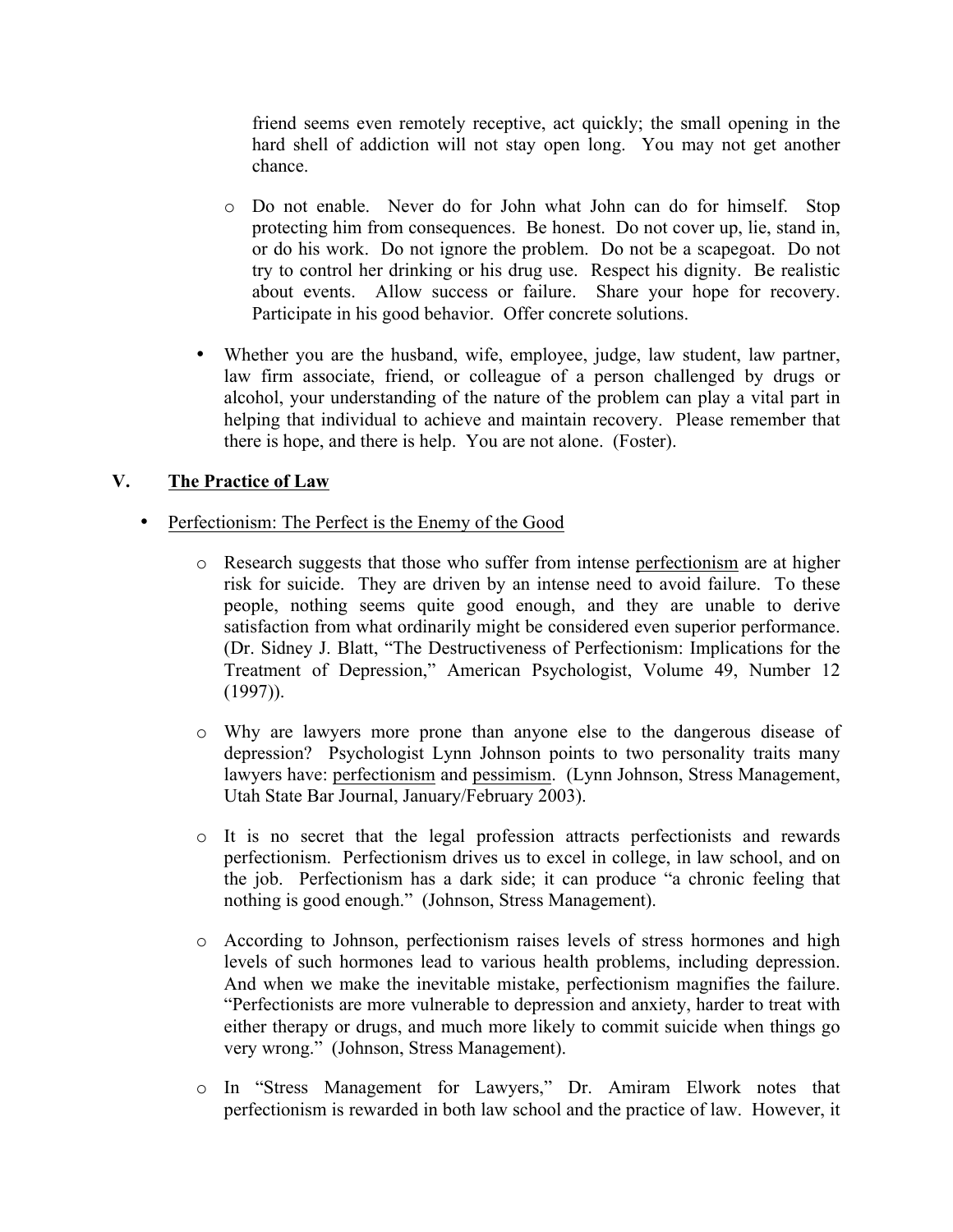friend seems even remotely receptive, act quickly; the small opening in the hard shell of addiction will not stay open long. You may not get another chance.

- o Do not enable. Never do for John what John can do for himself. Stop protecting him from consequences. Be honest. Do not cover up, lie, stand in, or do his work. Do not ignore the problem. Do not be a scapegoat. Do not try to control her drinking or his drug use. Respect his dignity. Be realistic about events. Allow success or failure. Share your hope for recovery. Participate in his good behavior. Offer concrete solutions.
- Whether you are the husband, wife, employee, judge, law student, law partner, law firm associate, friend, or colleague of a person challenged by drugs or alcohol, your understanding of the nature of the problem can play a vital part in helping that individual to achieve and maintain recovery. Please remember that there is hope, and there is help. You are not alone. (Foster).

# **V. The Practice of Law**

# • Perfectionism: The Perfect is the Enemy of the Good

- o Research suggests that those who suffer from intense perfectionism are at higher risk for suicide. They are driven by an intense need to avoid failure. To these people, nothing seems quite good enough, and they are unable to derive satisfaction from what ordinarily might be considered even superior performance. (Dr. Sidney J. Blatt, "The Destructiveness of Perfectionism: Implications for the Treatment of Depression," American Psychologist, Volume 49, Number 12  $(1997)$ ).
- o Why are lawyers more prone than anyone else to the dangerous disease of depression? Psychologist Lynn Johnson points to two personality traits many lawyers have: perfectionism and pessimism. (Lynn Johnson, Stress Management, Utah State Bar Journal, January/February 2003).
- o It is no secret that the legal profession attracts perfectionists and rewards perfectionism. Perfectionism drives us to excel in college, in law school, and on the job. Perfectionism has a dark side; it can produce "a chronic feeling that nothing is good enough." (Johnson, Stress Management).
- o According to Johnson, perfectionism raises levels of stress hormones and high levels of such hormones lead to various health problems, including depression. And when we make the inevitable mistake, perfectionism magnifies the failure. "Perfectionists are more vulnerable to depression and anxiety, harder to treat with either therapy or drugs, and much more likely to commit suicide when things go very wrong." (Johnson, Stress Management).
- o In "Stress Management for Lawyers," Dr. Amiram Elwork notes that perfectionism is rewarded in both law school and the practice of law. However, it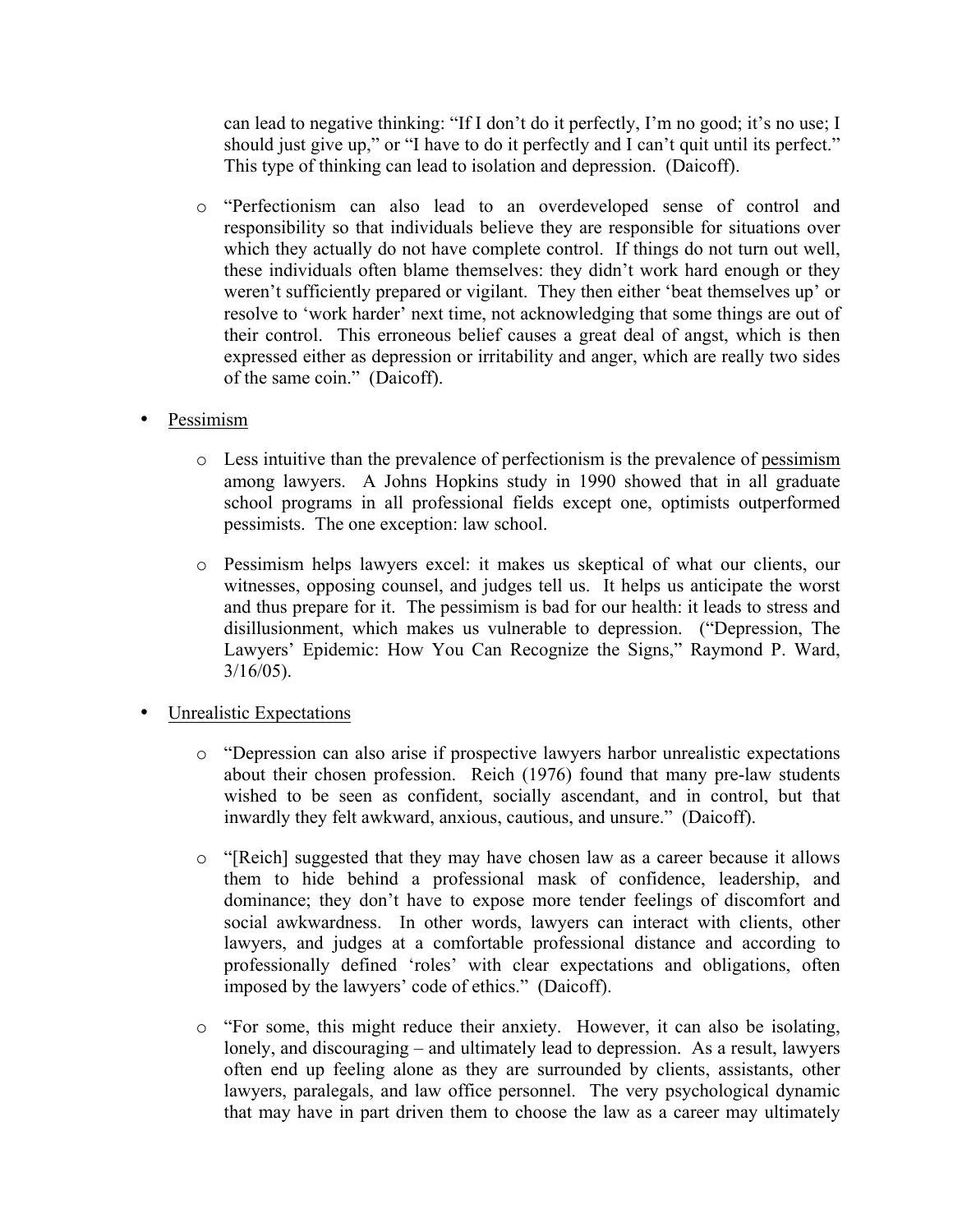can lead to negative thinking: "If I don't do it perfectly, I'm no good; it's no use; I should just give up," or "I have to do it perfectly and I can't quit until its perfect." This type of thinking can lead to isolation and depression. (Daicoff).

- o "Perfectionism can also lead to an overdeveloped sense of control and responsibility so that individuals believe they are responsible for situations over which they actually do not have complete control. If things do not turn out well, these individuals often blame themselves: they didn't work hard enough or they weren't sufficiently prepared or vigilant. They then either 'beat themselves up' or resolve to 'work harder' next time, not acknowledging that some things are out of their control. This erroneous belief causes a great deal of angst, which is then expressed either as depression or irritability and anger, which are really two sides of the same coin." (Daicoff).
- Pessimism
	- o Less intuitive than the prevalence of perfectionism is the prevalence of pessimism among lawyers. A Johns Hopkins study in 1990 showed that in all graduate school programs in all professional fields except one, optimists outperformed pessimists. The one exception: law school.
	- o Pessimism helps lawyers excel: it makes us skeptical of what our clients, our witnesses, opposing counsel, and judges tell us. It helps us anticipate the worst and thus prepare for it. The pessimism is bad for our health: it leads to stress and disillusionment, which makes us vulnerable to depression. ("Depression, The Lawyers' Epidemic: How You Can Recognize the Signs," Raymond P. Ward,  $3/16/05$ ).
- Unrealistic Expectations
	- o "Depression can also arise if prospective lawyers harbor unrealistic expectations about their chosen profession. Reich (1976) found that many pre-law students wished to be seen as confident, socially ascendant, and in control, but that inwardly they felt awkward, anxious, cautious, and unsure." (Daicoff).
	- o "[Reich] suggested that they may have chosen law as a career because it allows them to hide behind a professional mask of confidence, leadership, and dominance; they don't have to expose more tender feelings of discomfort and social awkwardness. In other words, lawyers can interact with clients, other lawyers, and judges at a comfortable professional distance and according to professionally defined 'roles' with clear expectations and obligations, often imposed by the lawyers' code of ethics." (Daicoff).
	- o "For some, this might reduce their anxiety. However, it can also be isolating, lonely, and discouraging – and ultimately lead to depression. As a result, lawyers often end up feeling alone as they are surrounded by clients, assistants, other lawyers, paralegals, and law office personnel. The very psychological dynamic that may have in part driven them to choose the law as a career may ultimately